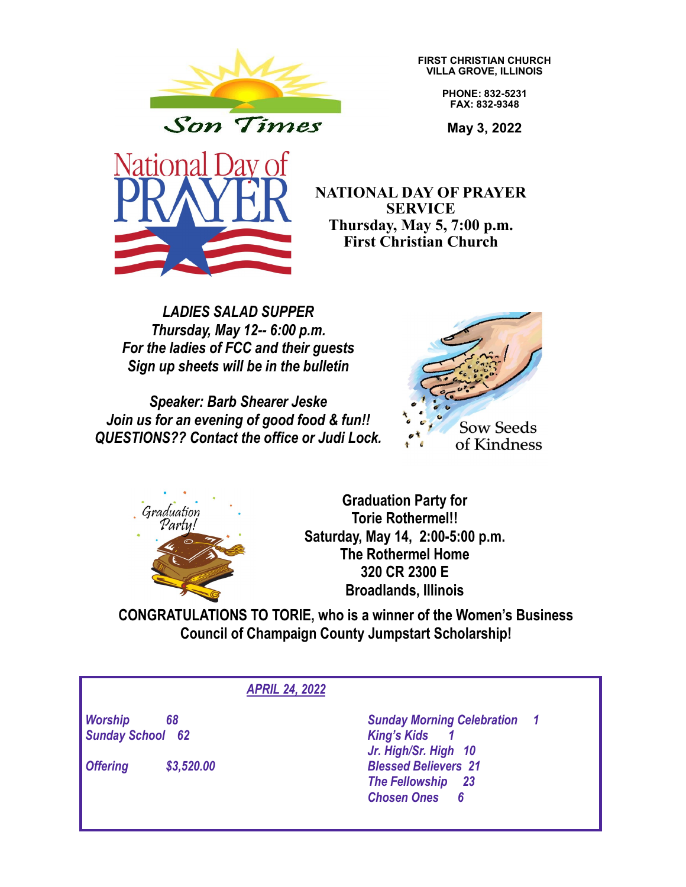

**FIRST CHRISTIAN CHURCH VILLA GROVE, ILLINOIS**

> **PHONE: 832-5231 FAX: 832-9348**

**May 3, 2022**



**NATIONAL DAY OF PRAYER SERVICE Thursday, May 5, 7:00 p.m. First Christian Church**

*LADIES SALAD SUPPER Thursday, May 12-- 6:00 p.m. For the ladies of FCC and their guests Sign up sheets will be in the bulletin*

*Speaker: Barb Shearer Jeske Join us for an evening of good food & fun!! QUESTIONS?? Contact the office or Judi Lock.*





**Graduation Party for Torie Rothermel!! Saturday, May 14, 2:00-5:00 p.m. The Rothermel Home 320 CR 2300 E Broadlands, Illinois**

**CONGRATULATIONS TO TORIE, who is a winner of the Women's Business Council of Champaign County Jumpstart Scholarship!**

## *APRIL 24, 2022*

*Sunday School 62 King's Kids 1*

*Offering \$3,520.00 Blessed Believers 21*

*Worship 68 Sunday Morning Celebration 1 Jr. High/Sr. High 10 The Fellowship 23 Chosen Ones 6*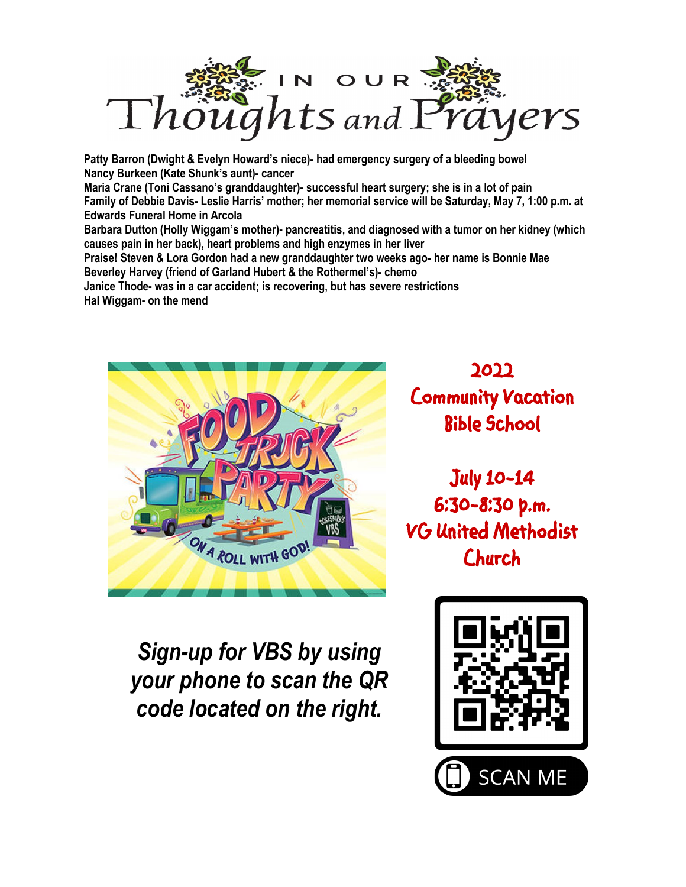

**Patty Barron (Dwight & Evelyn Howard's niece)- had emergency surgery of a bleeding bowel Nancy Burkeen (Kate Shunk's aunt)- cancer Maria Crane (Toni Cassano's granddaughter)- successful heart surgery; she is in a lot of pain Family of Debbie Davis- Leslie Harris' mother; her memorial service will be Saturday, May 7, 1:00 p.m. at Edwards Funeral Home in Arcola Barbara Dutton (Holly Wiggam's mother)- pancreatitis, and diagnosed with a tumor on her kidney (which causes pain in her back), heart problems and high enzymes in her liver Praise! Steven & Lora Gordon had a new granddaughter two weeks ago- her name is Bonnie Mae Beverley Harvey (friend of Garland Hubert & the Rothermel's)- chemo Janice Thode- was in a car accident; is recovering, but has severe restrictions Hal Wiggam- on the mend**



**2022 Community Vacation Bible School** 

**July 10-14 6:30-8:30 p.m. VG United Methodist Church** 

*Sign-up for VBS by using your phone to scan the QR code located on the right.*